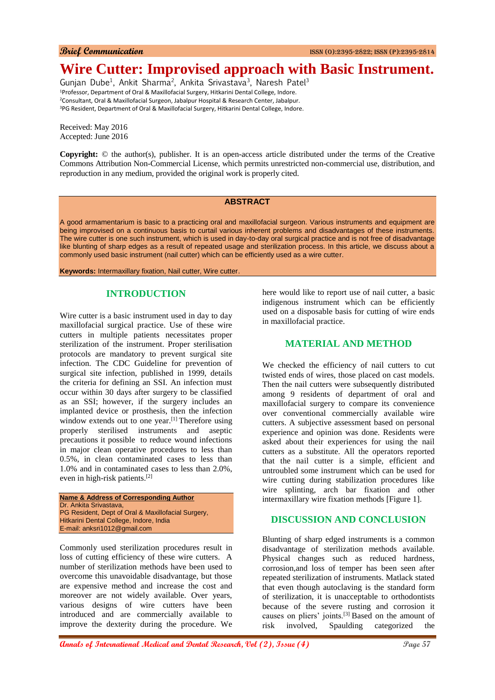# **Wire Cutter: Improvised approach with Basic Instrument.**

Gunjan Dube<sup>1</sup>, Ankit Sharma<sup>2</sup>, Ankita Srivastava<sup>3</sup>, Naresh Patel<sup>3</sup> <sup>1</sup>Professor, Department of Oral & Maxillofacial Surgery, Hitkarini Dental College, Indore. <sup>2</sup>Consultant, Oral & Maxillofacial Surgeon, Jabalpur Hospital & Research Center, Jabalpur. <sup>3</sup>PG Resident, Department of Oral & Maxillofacial Surgery, Hitkarini Dental College, Indore.

Received: May 2016 Accepted: June 2016

**Copyright:** © the author(s), publisher. It is an open-access article distributed under the terms of the Creative Commons Attribution Non-Commercial License, which permits unrestricted non-commercial use, distribution, and reproduction in any medium, provided the original work is properly cited.

#### **ABSTRACT**

A good armamentarium is basic to a practicing oral and maxillofacial surgeon. Various instruments and equipment are being improvised on a continuous basis to curtail various inherent problems and disadvantages of these instruments. The wire cutter is one such instrument, which is used in day-to-day oral surgical practice and is not free of disadvantage like blunting of sharp edges as a result of repeated usage and sterilization process. In this article, we discuss about a commonly used basic instrument (nail cutter) which can be efficiently used as a wire cutter.

**Keywords:** Intermaxillary fixation, Nail cutter, Wire cutter.

# **INTRODUCTION**

Wire cutter is a basic instrument used in day to day maxillofacial surgical practice. Use of these wire cutters in multiple patients necessitates proper sterilization of the instrument. Proper sterilisation protocols are mandatory to prevent surgical site infection. The CDC Guideline for prevention of surgical site infection, published in 1999, details the criteria for defining an SSI. An infection must occur within 30 days after surgery to be classified as an SSI; however, if the surgery includes an implanted device or prosthesis, then the infection window extends out to one year.<sup>[1]</sup> Therefore using properly sterilised instruments and aseptic precautions it possible to reduce wound infections in major clean operative procedures to less than 0.5%, in clean contaminated cases to less than 1.0% and in contaminated cases to less than 2.0%, even in high-risk patients.[2]

**Name & Address of Corresponding Author** Dr. Ankita Srivastava, PG Resident, Dept of Oral & Maxillofacial Surgery, Hitkarini Dental College, Indore, India E-mail: anksri1012@gmail.com

Commonly used sterilization procedures result in loss of cutting efficiency of these wire cutters. A number of sterilization methods have been used to overcome this unavoidable disadvantage, but those are expensive method and increase the cost and moreover are not widely available. Over years, various designs of wire cutters have been introduced and are commercially available to improve the dexterity during the procedure. We

here would like to report use of nail cutter, a basic indigenous instrument which can be efficiently used on a disposable basis for cutting of wire ends in maxillofacial practice.

## **MATERIAL AND METHOD**

We checked the efficiency of nail cutters to cut twisted ends of wires, those placed on cast models. Then the nail cutters were subsequently distributed among 9 residents of department of oral and maxillofacial surgery to compare its convenience over conventional commercially available wire cutters. A subjective assessment based on personal experience and opinion was done. Residents were asked about their experiences for using the nail cutters as a substitute. All the operators reported that the nail cutter is a simple, efficient and untroubled some instrument which can be used for wire cutting during stabilization procedures like wire splinting, arch bar fixation and other intermaxillary wire fixation methods [Figure 1].

# **DISCUSSION AND CONCLUSION**

Blunting of sharp edged instruments is a common disadvantage of sterilization methods available. Physical changes such as reduced hardness, corrosion,and loss of temper has been seen after repeated sterilization of instruments. Matlack stated that even though autoclaving is the standard form of sterilization, it is unacceptable to orthodontists because of the severe rusting and corrosion it causes on pliers' joints.[3] Based on the amount of risk involved, Spaulding categorized the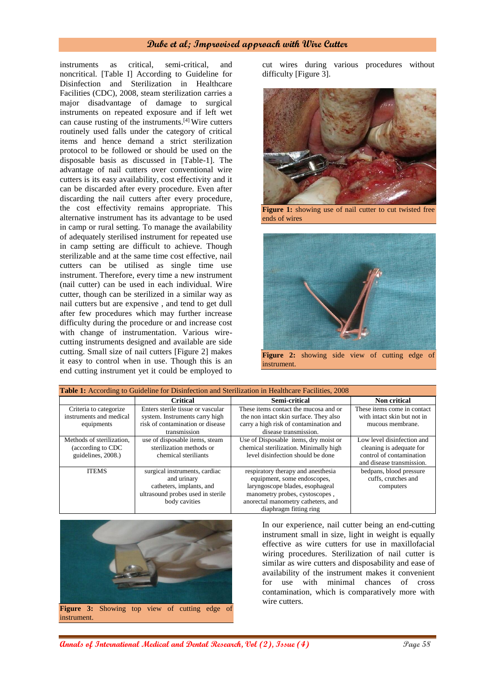### **Dube et al; Improvised approach with Wire Cutter**

instruments as critical, semi-critical, and noncritical. [Table I] According to Guideline for Disinfection and Sterilization in Healthcare Facilities (CDC), 2008, steam sterilization carries a major disadvantage of damage to surgical instruments on repeated exposure and if left wet can cause rusting of the instruments.[4] Wire cutters routinely used falls under the category of critical items and hence demand a strict sterilization protocol to be followed or should be used on the disposable basis as discussed in [Table-1]. The advantage of nail cutters over conventional wire cutters is its easy availability, cost effectivity and it can be discarded after every procedure. Even after discarding the nail cutters after every procedure, the cost effectivity remains appropriate. This alternative instrument has its advantage to be used in camp or rural setting. To manage the availability of adequately sterilised instrument for repeated use in camp setting are difficult to achieve. Though sterilizable and at the same time cost effective, nail cutters can be utilised as single time use instrument. Therefore, every time a new instrument (nail cutter) can be used in each individual. Wire cutter, though can be sterilized in a similar way as nail cutters but are expensive , and tend to get dull after few procedures which may further increase difficulty during the procedure or and increase cost with change of instrumentation. Various wirecutting instruments designed and available are side cutting. Small size of nail cutters [Figure 2] makes it easy to control when in use. Though this is an end cutting instrument yet it could be employed to

cut wires during various procedures without difficulty [Figure 3].



**Figure 1:** showing use of nail cutter to cut twisted free ends of wires



| Table 1: According to Guideline for Disinfection and Sterilization in Healthcare Facilities, 2008 |                                                                                                                                |                                                                                                                                                                                                        |                                                                                                                 |
|---------------------------------------------------------------------------------------------------|--------------------------------------------------------------------------------------------------------------------------------|--------------------------------------------------------------------------------------------------------------------------------------------------------------------------------------------------------|-----------------------------------------------------------------------------------------------------------------|
|                                                                                                   | <b>Critical</b>                                                                                                                | Semi-critical                                                                                                                                                                                          | <b>Non critical</b>                                                                                             |
| Criteria to categorize<br>instruments and medical<br>equipments                                   | Enters sterile tissue or vascular<br>system. Instruments carry high<br>risk of contamination or disease<br>transmission        | These items contact the mucosa and or<br>the non intact skin surface. They also<br>carry a high risk of contamination and<br>disease transmission.                                                     | These items come in contact<br>with intact skin but not in<br>mucous membrane.                                  |
| Methods of sterilization.<br>(according to CDC)<br>guidelines, 2008.)                             | use of disposable items, steam<br>sterilization methods or<br>chemical steriliants                                             | Use of Disposable items, dry moist or<br>chemical sterilization. Minimally high<br>level disinfection should be done                                                                                   | Low level disinfection and<br>cleaning is adequate for<br>control of contamination<br>and disease transmission. |
| <b>ITEMS</b>                                                                                      | surgical instruments, cardiac<br>and urinary<br>catheters, implants, and<br>ultrasound probes used in sterile<br>body cavities | respiratory therapy and anesthesia<br>equipment, some endoscopes,<br>laryngoscope blades, esophageal<br>manometry probes, cystoscopes,<br>anorectal manometry catheters, and<br>diaphragm fitting ring | bedpans, blood pressure<br>cuffs, crutches and<br>computers                                                     |



In our experience, nail cutter being an end-cutting instrument small in size, light in weight is equally effective as wire cutters for use in maxillofacial wiring procedures. Sterilization of nail cutter is similar as wire cutters and disposability and ease of availability of the instrument makes it convenient for use with minimal chances of cross contamination, which is comparatively more with wire cutters.